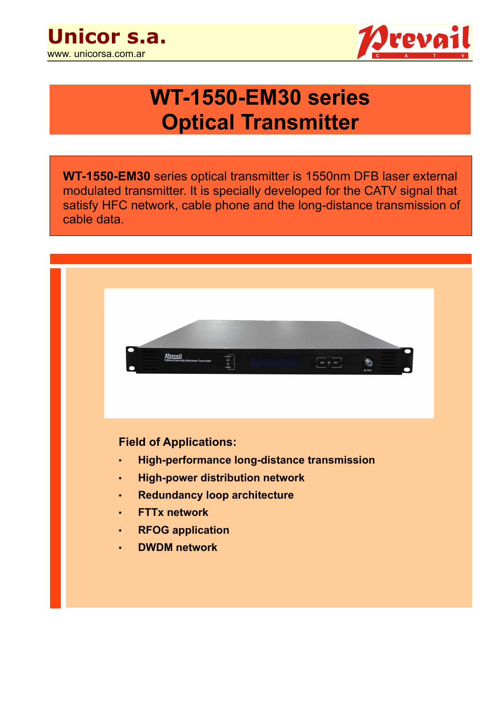



# **WT-1550-EM30 series Optical Transmitter**

**WT-1550-EM30** series optical transmitter is 1550nm DFB laser external modulated transmitter. It is specially developed for the CATV signal that satisfy HFC network, cable phone and the long-distance transmission of cable data.

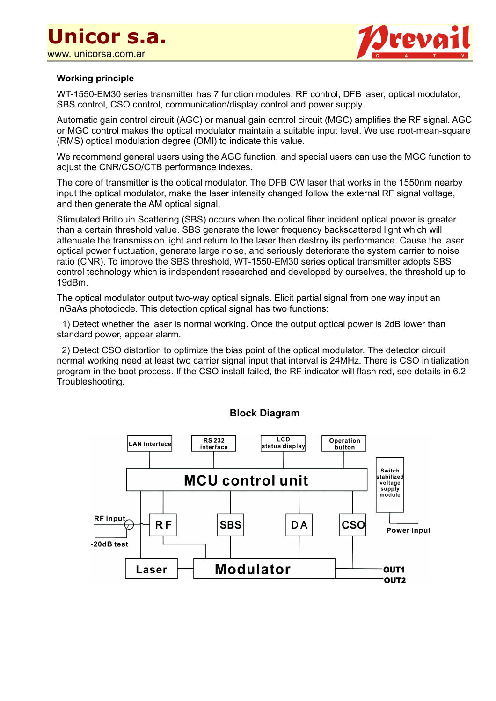

#### **Working principle**

WT-1550-EM30 series transmitter has 7 function modules: RF control, DFB laser, optical modulator, SBS control, CSO control, communication/display control and power supply.

Automatic gain control circuit (AGC) or manual gain control circuit (MGC) amplifies the RF signal. AGC or MGC control makes the optical modulator maintain a suitable input level. We use root-mean-square (RMS) optical modulation degree (OMI) to indicate this value.

We recommend general users using the AGC function, and special users can use the MGC function to adjust the CNR/CSO/CTB performance indexes.

The core of transmitter is the optical modulator. The DFB CW laser that works in the 1550nm nearby input the optical modulator, make the laser intensity changed follow the external RF signal voltage, and then generate the AM optical signal.

Stimulated Brillouin Scattering (SBS) occurs when the optical fiber incident optical power is greater than a certain threshold value. SBS generate the lower frequency backscattered light which will attenuate the transmission light and return to the laser then destroy its performance. Cause the laser optical power fluctuation, generate large noise, and seriously deteriorate the system carrier to noise ratio (CNR). To improve the SBS threshold, WT-1550-EM30 series optical transmitter adopts SBS control technology which is independent researched and developed by ourselves, the threshold up to 19dBm.

The optical modulator output two-way optical signals. Elicit partial signal from one way input an InGaAs photodiode. This detection optical signal has two functions:

 1) Detect whether the laser is normal working. Once the output optical power is 2dB lower than standard power, appear alarm.

 2) Detect CSO distortion to optimize the bias point of the optical modulator. The detector circuit normal working need at least two carrier signal input that interval is 24MHz. There is CSO initialization program in the boot process. If the CSO install failed, the RF indicator will flash red, see details in 6.2 Troubleshooting.



**Block Diagram**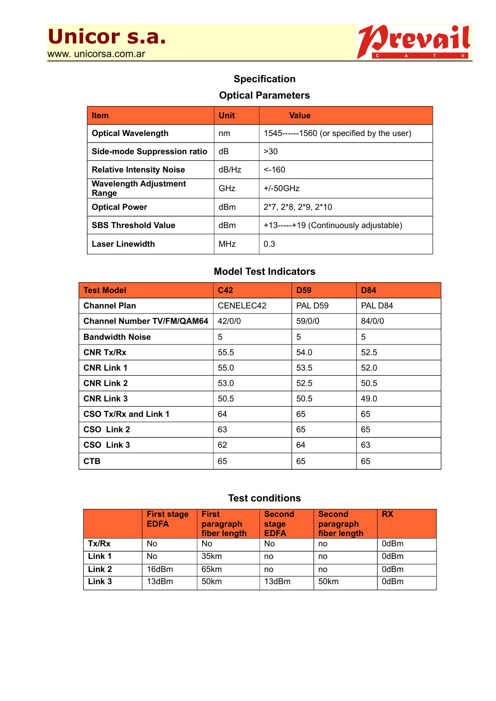**Unicor s.a.**  www. unicorsa.com.ar



### **Specification**

#### **Optical Parameters**

| <b>Item</b>                           | <b>Unit</b> | <b>Value</b>                                 |
|---------------------------------------|-------------|----------------------------------------------|
| <b>Optical Wavelength</b>             | nm          | $1545$ ------1560 (or specified by the user) |
| Side-mode Suppression ratio           | dB          | >30                                          |
| <b>Relative Intensity Noise</b>       | dB/Hz       | $< -160$                                     |
| <b>Wavelength Adjustment</b><br>Range | GHz         | $+/-50GHz$                                   |
| <b>Optical Power</b>                  | dBm         | $2*7, 2*8, 2*9, 2*10$                        |
| <b>SBS Threshold Value</b>            | dBm         | +13-----+19 (Continuously adjustable)        |
| <b>Laser Linewidth</b>                | MHz         | 0.3                                          |

## **Model Test Indicators**

| <b>Test Model</b>                 | C <sub>42</sub> | <b>D59</b> | <b>D84</b> |
|-----------------------------------|-----------------|------------|------------|
| <b>Channel Plan</b>               | CENELEC42       | PAL D59    | PAL D84    |
| <b>Channel Number TV/FM/QAM64</b> | 42/0/0          | 59/0/0     | 84/0/0     |
| <b>Bandwidth Noise</b>            | 5               | 5          | 5          |
| <b>CNR Tx/Rx</b>                  | 55.5            | 54.0       | 52.5       |
| <b>CNR Link 1</b>                 | 55.0            | 53.5       | 52.0       |
| <b>CNR Link 2</b>                 | 53.0            | 52.5       | 50.5       |
| <b>CNR Link 3</b>                 | 50.5            | 50.5       | 49.0       |
| CSO Tx/Rx and Link 1              | 64              | 65         | 65         |
| CSO Link 2                        | 63              | 65         | 65         |
| CSO Link 3                        | 62              | 64         | 63         |
| <b>CTB</b>                        | 65              | 65         | 65         |

#### **Test conditions**

|                   | <b>First stage</b><br><b>EDFA</b> | <b>First</b><br>paragraph<br>fiber length | <b>Second</b><br>stage<br><b>EDFA</b> | <b>Second</b><br>paragraph<br>fiber length | <b>RX</b> |
|-------------------|-----------------------------------|-------------------------------------------|---------------------------------------|--------------------------------------------|-----------|
| Tx/Rx             | <b>No</b>                         | No                                        | No                                    | no                                         | 0dBm      |
| Link 1            | <b>No</b>                         | 35km                                      | no                                    | no                                         | 0dBm      |
| Link 2            | 16dBm                             | 65km                                      | no                                    | no                                         | 0dBm      |
| Link <sub>3</sub> | 13dBm                             | 50km                                      | 13dBm                                 | 50 <sub>km</sub>                           | 0dBm      |